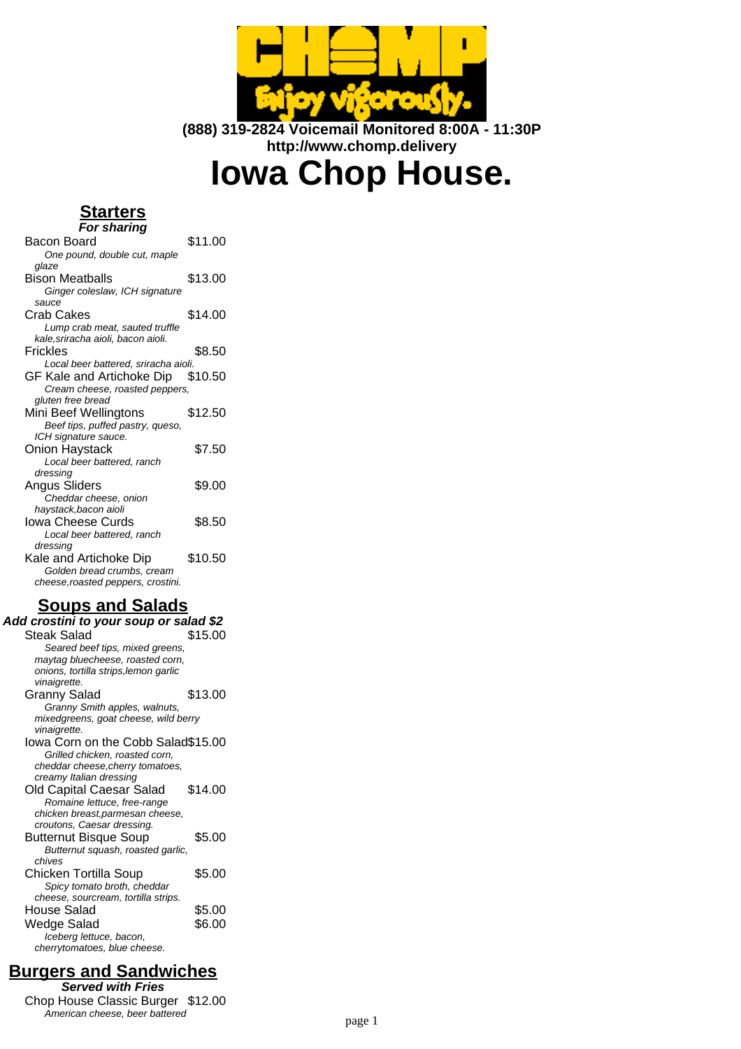

**(888) 319-2824 Voicemail Monitored 8:00A - 11:30P http://www.chomp.delivery**

# **Iowa Chop House.**

## **Starters**

| <b>For sharing</b>                             |         |
|------------------------------------------------|---------|
| Bacon Board                                    | \$11.00 |
| One pound, double cut, maple                   |         |
| glaze                                          |         |
| Bison Meatballs                                | \$13.00 |
| Ginger coleslaw, ICH signature                 |         |
| sauce                                          |         |
| Crab Cakes                                     | \$14.00 |
| Lump crab meat, sauted truffle                 |         |
| kale,sriracha aioli, bacon aioli.              |         |
| Frickles                                       | \$8.50  |
| Local beer battered, sriracha aioli.           |         |
| GF Kale and Artichoke Dip \$10.50              |         |
| Cream cheese, roasted peppers,                 |         |
| gluten free bread                              |         |
| Mini Beef Wellingtons                          | \$12.50 |
| Beef tips, puffed pastry, queso,               |         |
| ICH signature sauce.                           |         |
| Onion Haystack                                 | \$7.50  |
| Local beer battered, ranch                     |         |
| dressing                                       | \$9.00  |
| <b>Angus Sliders</b>                           |         |
| Cheddar cheese, onion<br>haystack, bacon aioli |         |
| Iowa Cheese Curds                              | \$8.50  |
| Local beer battered, ranch                     |         |
| dressing                                       |         |
| Kale and Artichoke Dip                         | \$10.50 |
| Golden bread crumbs, cream                     |         |
| cheese, roasted peppers, crostini.             |         |
|                                                |         |
|                                                |         |

## **Soups and Salads**

| Add crostini to your soup or salad \$2                  |         |
|---------------------------------------------------------|---------|
| <b>Steak Salad</b>                                      | \$15.00 |
| Seared beef tips, mixed greens,                         |         |
| maytag bluecheese, roasted corn,                        |         |
| onions, tortilla strips, lemon garlic                   |         |
| vinaigrette.                                            |         |
| Granny Salad                                            | \$13.00 |
| Granny Smith apples, walnuts,                           |         |
| mixedgreens, goat cheese, wild berry<br>vinaigrette.    |         |
| lowa Corn on the Cobb Salad\$15.00                      |         |
| Grilled chicken, roasted corn,                          |         |
| cheddar cheese, cherry tomatoes,                        |         |
| creamy Italian dressing                                 |         |
| Old Capital Caesar Salad                                | \$14.00 |
| Romaine lettuce, free-range                             |         |
| chicken breast, parmesan cheese,                        |         |
| croutons, Caesar dressing.                              |         |
| <b>Butternut Bisque Soup</b>                            | \$5.00  |
| Butternut squash, roasted garlic,<br>chives             |         |
| Chicken Tortilla Soup                                   | \$5.00  |
| Spicy tomato broth, cheddar                             |         |
| cheese, sourcream, tortilla strips.                     |         |
| House Salad                                             | \$5.00  |
| Wedge Salad                                             | \$6.00  |
|                                                         |         |
| Iceberg lettuce, bacon,<br>cherrytomatoes, blue cheese. |         |
|                                                         |         |

# **Burgers and Sandwiches**

**Served with Fries** Chop House Classic Burger \$12.00 American cheese, beer battered page 1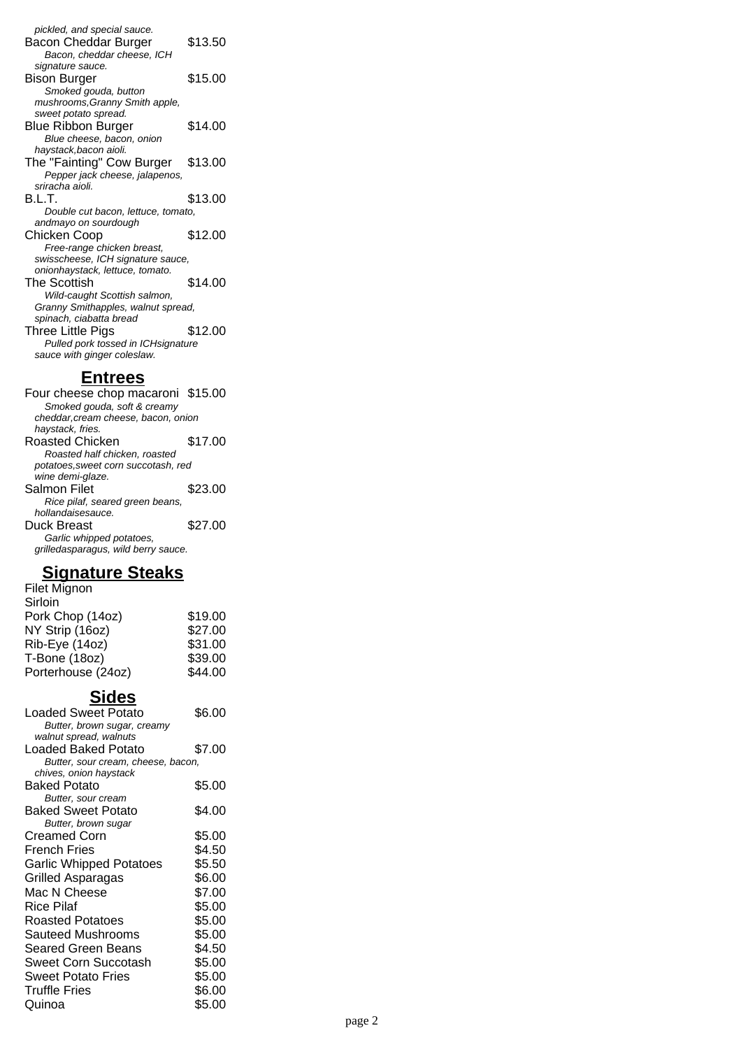pickled, and special sauce. Bacon Cheddar Burger \$13.50 Bacon, cheddar cheese, ICH signature sauce. Bison Burger \$15.00 Smoked gouda, button mushrooms,Granny Smith apple, sweet potato spread. Blue Ribbon Burger \$14.00 Blue cheese, bacon, onion haystack,bacon aioli. The "Fainting" Cow Burger \$13.00 Pepper jack cheese, jalapenos, sriracha aioli. B.L.T. \$13.00 Double cut bacon, lettuce, tomato, andmayo on sourdough Chicken Coop \$12.00 Free-range chicken breast, swisscheese, ICH signature sauce, onionhaystack, lettuce, tomato. The Scottish \$14.00 Wild-caught Scottish salmon, Granny Smithapples, walnut spread, spinach, ciabatta bread Three Little Pigs \$12.00 Pulled pork tossed in ICHsignature sauce with ginger coleslaw.

#### **Entrees**

Four cheese chop macaroni \$15.00 Smoked gouda, soft & creamy cheddar,cream cheese, bacon, onion haystack, fries. Roasted Chicken \$17.00 Roasted half chicken, roasted potatoes,sweet corn succotash, red wine demi-glaze. Salmon Filet \$23.00 Rice pilaf, seared green beans, hollandaisesauce. Duck Breast \$27.00 Garlic whipped potatoes, grilledasparagus, wild berry sauce.

#### **Signature Steaks**

| Filet Mignon       |         |
|--------------------|---------|
| Sirloin            |         |
| Pork Chop (14oz)   | \$19.00 |
| NY Strip (16oz)    | \$27.00 |
| Rib-Eye (14oz)     | \$31.00 |
| T-Bone (18oz)      | \$39.00 |
| Porterhouse (24oz) | \$44.00 |

#### **Sides**

| Loaded Sweet Potato                | \$6.00 |
|------------------------------------|--------|
| Butter, brown sugar, creamy        |        |
| walnut spread, walnuts             |        |
| Loaded Baked Potato                | \$7.00 |
| Butter, sour cream, cheese, bacon, |        |
| chives, onion haystack             |        |
| Baked Potato                       | \$5.00 |
| Butter, sour cream                 |        |
| <b>Baked Sweet Potato</b>          | \$4.00 |
| Butter, brown sugar                |        |
| Creamed Corn                       | \$5.00 |
| French Fries                       | \$4.50 |
| <b>Garlic Whipped Potatoes</b>     | \$5.50 |
| Grilled Asparagas                  | \$6.00 |
| Mac N Cheese                       | \$7.00 |
| Rice Pilaf                         | \$5.00 |
| <b>Roasted Potatoes</b>            | \$5.00 |
| Sauteed Mushrooms                  | \$5.00 |
| Seared Green Beans                 | \$4.50 |
| Sweet Corn Succotash               | \$5.00 |
| <b>Sweet Potato Fries</b>          | \$5.00 |
| <b>Truffle Fries</b>               | \$6.00 |
| Quinoa                             | \$5.00 |